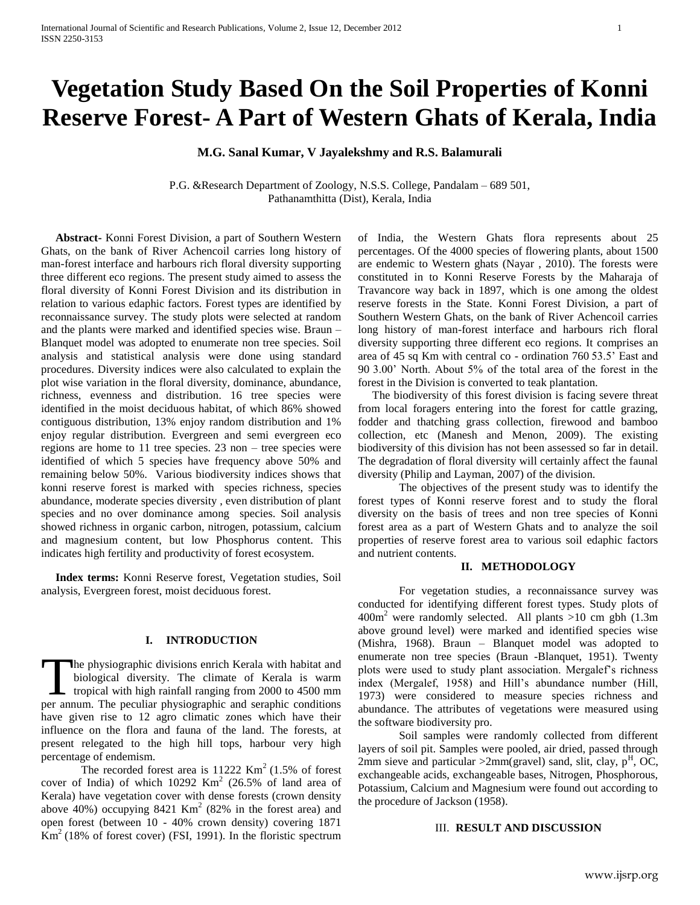# **Vegetation Study Based On the Soil Properties of Konni Reserve Forest- A Part of Western Ghats of Kerala, India**

**M.G. Sanal Kumar, V Jayalekshmy and R.S. Balamurali**

P.G. &Research Department of Zoology, N.S.S. College, Pandalam – 689 501, Pathanamthitta (Dist), Kerala, India

 **Abstract-** Konni Forest Division, a part of Southern Western Ghats, on the bank of River Achencoil carries long history of man-forest interface and harbours rich floral diversity supporting three different eco regions. The present study aimed to assess the floral diversity of Konni Forest Division and its distribution in relation to various edaphic factors. Forest types are identified by reconnaissance survey. The study plots were selected at random and the plants were marked and identified species wise. Braun – Blanquet model was adopted to enumerate non tree species. Soil analysis and statistical analysis were done using standard procedures. Diversity indices were also calculated to explain the plot wise variation in the floral diversity, dominance, abundance, richness, evenness and distribution. 16 tree species were identified in the moist deciduous habitat, of which 86% showed contiguous distribution, 13% enjoy random distribution and 1% enjoy regular distribution. Evergreen and semi evergreen eco regions are home to 11 tree species. 23 non – tree species were identified of which 5 species have frequency above 50% and remaining below 50%. Various biodiversity indices shows that konni reserve forest is marked with species richness, species abundance, moderate species diversity , even distribution of plant species and no over dominance among species. Soil analysis showed richness in organic carbon, nitrogen, potassium, calcium and magnesium content, but low Phosphorus content. This indicates high fertility and productivity of forest ecosystem.

 **Index terms:** Konni Reserve forest, Vegetation studies, Soil analysis, Evergreen forest, moist deciduous forest.

## **I. INTRODUCTION**

he physiographic divisions enrich Kerala with habitat and biological diversity. The climate of Kerala is warm The physiographic divisions enrich Kerala with habitat and<br>biological diversity. The climate of Kerala is warm<br>tropical with high rainfall ranging from 2000 to 4500 mm<br>ner annum. The peculiar physiographic and seraphic con per annum. The peculiar physiographic and seraphic conditions have given rise to 12 agro climatic zones which have their influence on the flora and fauna of the land. The forests, at present relegated to the high hill tops, harbour very high percentage of endemism.

The recorded forest area is  $11222$  Km<sup>2</sup> (1.5% of forest cover of India) of which  $10292$  Km<sup>2</sup> (26.5% of land area of Kerala) have vegetation cover with dense forests (crown density above 40%) occupying  $8421$  Km<sup>2</sup> (82% in the forest area) and open forest (between 10 - 40% crown density) covering 1871  $\text{Km}^2$  (18% of forest cover) (FSI, 1991). In the floristic spectrum

of India, the Western Ghats flora represents about 25 percentages. Of the 4000 species of flowering plants, about 1500 are endemic to Western ghats (Nayar , 2010). The forests were constituted in to Konni Reserve Forests by the Maharaja of Travancore way back in 1897, which is one among the oldest reserve forests in the State. Konni Forest Division, a part of Southern Western Ghats, on the bank of River Achencoil carries long history of man-forest interface and harbours rich floral diversity supporting three different eco regions. It comprises an area of 45 sq Km with central co - ordination 760 53.5' East and 90 3.00' North. About 5% of the total area of the forest in the forest in the Division is converted to teak plantation.

 The biodiversity of this forest division is facing severe threat from local foragers entering into the forest for cattle grazing, fodder and thatching grass collection, firewood and bamboo collection, etc (Manesh and Menon, 2009). The existing biodiversity of this division has not been assessed so far in detail. The degradation of floral diversity will certainly affect the faunal diversity (Philip and Layman, 2007) of the division.

The objectives of the present study was to identify the forest types of Konni reserve forest and to study the floral diversity on the basis of trees and non tree species of Konni forest area as a part of Western Ghats and to analyze the soil properties of reserve forest area to various soil edaphic factors and nutrient contents.

#### **II. METHODOLOGY**

For vegetation studies, a reconnaissance survey was conducted for identifying different forest types. Study plots of  $400m<sup>2</sup>$  were randomly selected. All plants  $>10$  cm gbh (1.3m) above ground level) were marked and identified species wise (Mishra, 1968). Braun – Blanquet model was adopted to enumerate non tree species (Braun -Blanquet, 1951). Twenty plots were used to study plant association. Mergalef's richness index (Mergalef, 1958) and Hill's abundance number (Hill, 1973) were considered to measure species richness and abundance. The attributes of vegetations were measured using the software biodiversity pro.

Soil samples were randomly collected from different layers of soil pit. Samples were pooled, air dried, passed through 2mm sieve and particular  $>2mm$  (gravel) sand, slit, clay, p<sup>H</sup>, OC, exchangeable acids, exchangeable bases, Nitrogen, Phosphorous, Potassium, Calcium and Magnesium were found out according to the procedure of Jackson (1958).

#### III. **RESULT AND DISCUSSION**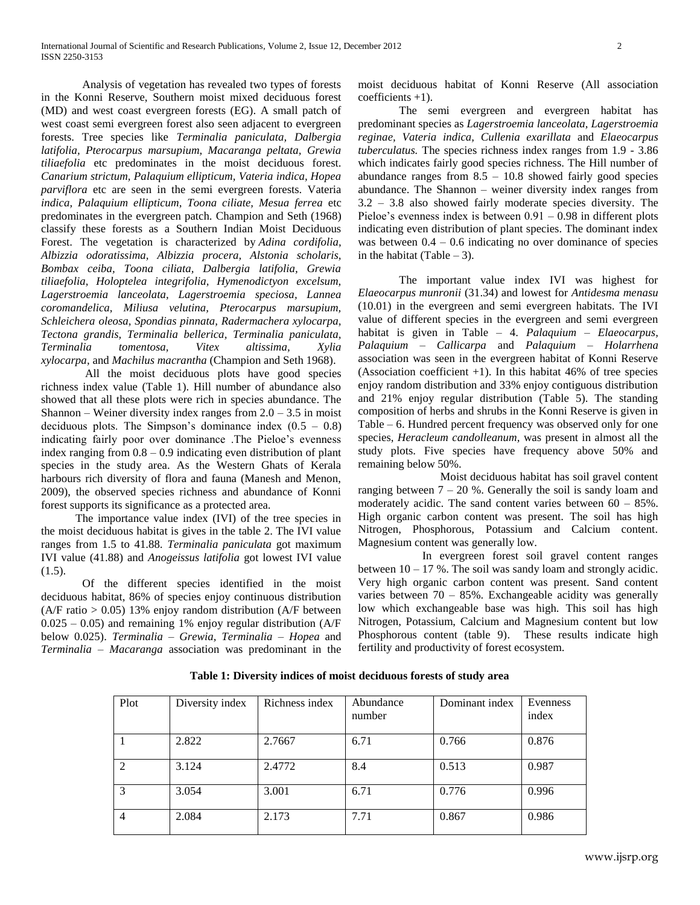Analysis of vegetation has revealed two types of forests in the Konni Reserve, Southern moist mixed deciduous forest (MD) and west coast evergreen forests (EG). A small patch of west coast semi evergreen forest also seen adjacent to evergreen forests. Tree species like *Terminalia paniculata, Dalbergia latifolia, Pterocarpus marsupium, Macaranga peltata, Grewia tiliaefolia* etc predominates in the moist deciduous forest. *Canarium strictum, Palaquium ellipticum, Vateria indica, Hopea parviflora* etc are seen in the semi evergreen forests. Vateria *indica, Palaquium ellipticum, Toona ciliate, Mesua ferrea* etc predominates in the evergreen patch. Champion and Seth (1968) classify these forests as a Southern Indian Moist Deciduous Forest. The vegetation is characterized by *Adina cordifolia, Albizzia odoratissima, Albizzia procera, Alstonia scholaris, Bombax ceiba, Toona ciliata, Dalbergia latifolia, Grewia tiliaefolia, Holoptelea integrifolia, Hymenodictyon excelsum, Lagerstroemia lanceolata, Lagerstroemia speciosa, Lannea coromandelica, Miliusa velutina, Pterocarpus marsupium, Schleichera oleosa, Spondias pinnata, Radermachera xylocarpa, Tectona grandis, Terminalia bellerica, Terminalia paniculata, Terminalia tomentosa, Vitex altissima, Xylia xylocarpa,* and *Machilus macrantha* (Champion and Seth 1968).

All the moist deciduous plots have good species richness index value (Table 1). Hill number of abundance also showed that all these plots were rich in species abundance. The Shannon – Weiner diversity index ranges from  $2.0 - 3.5$  in moist deciduous plots. The Simpson's dominance index  $(0.5 - 0.8)$ indicating fairly poor over dominance .The Pieloe's evenness index ranging from  $0.8 - 0.9$  indicating even distribution of plant species in the study area. As the Western Ghats of Kerala harbours rich diversity of flora and fauna (Manesh and Menon, 2009), the observed species richness and abundance of Konni forest supports its significance as a protected area.

 The importance value index (IVI) of the tree species in the moist deciduous habitat is gives in the table 2. The IVI value ranges from 1.5 to 41.88*. Terminalia paniculata* got maximum IVI value (41.88) and *Anogeissus latifolia* got lowest IVI value  $(1.5)$ .

Of the different species identified in the moist deciduous habitat, 86% of species enjoy continuous distribution  $(A/F \text{ ratio} > 0.05)$  13% enjoy random distribution  $(A/F \text{ between}$  $0.025 - 0.05$ ) and remaining 1% enjoy regular distribution (A/F) below 0.025). *Terminalia – Grewia, Terminalia – Hopea* and *Terminalia – Macaranga* association was predominant in the moist deciduous habitat of Konni Reserve (All association coefficients +1).

The semi evergreen and evergreen habitat has predominant species as *Lagerstroemia lanceolata, Lagerstroemia reginae, Vateria indica, Cullenia exarillata* and *Elaeocarpus tuberculatus.* The species richness index ranges from 1.9 - 3.86 which indicates fairly good species richness. The Hill number of abundance ranges from  $8.5 - 10.8$  showed fairly good species abundance. The Shannon – weiner diversity index ranges from 3.2 – 3.8 also showed fairly moderate species diversity. The Pieloe's evenness index is between  $0.91 - 0.98$  in different plots indicating even distribution of plant species. The dominant index was between  $0.4 - 0.6$  indicating no over dominance of species in the habitat (Table  $-3$ ).

The important value index IVI was highest for *Elaeocarpus munronii* (31.34) and lowest for *Antidesma menasu* (10.01) in the evergreen and semi evergreen habitats. The IVI value of different species in the evergreen and semi evergreen habitat is given in Table – 4. *Palaquium – Elaeocarpus, Palaquium – Callicarpa* and *Palaquium – Holarrhena* association was seen in the evergreen habitat of Konni Reserve (Association coefficient  $+1$ ). In this habitat 46% of tree species enjoy random distribution and 33% enjoy contiguous distribution and 21% enjoy regular distribution (Table 5). The standing composition of herbs and shrubs in the Konni Reserve is given in Table – 6. Hundred percent frequency was observed only for one species, *Heracleum candolleanum,* was present in almost all the study plots. Five species have frequency above 50% and remaining below 50%.

Moist deciduous habitat has soil gravel content ranging between  $7 - 20$  %. Generally the soil is sandy loam and moderately acidic. The sand content varies between 60 – 85%. High organic carbon content was present. The soil has high Nitrogen, Phosphorous, Potassium and Calcium content. Magnesium content was generally low.

In evergreen forest soil gravel content ranges between  $10 - 17$ %. The soil was sandy loam and strongly acidic. Very high organic carbon content was present. Sand content varies between  $70 - 85\%$ . Exchangeable acidity was generally low which exchangeable base was high. This soil has high Nitrogen, Potassium, Calcium and Magnesium content but low Phosphorous content (table 9). These results indicate high fertility and productivity of forest ecosystem.

| Plot          | Diversity index | Richness index | Abundance | Dominant index | Evenness |
|---------------|-----------------|----------------|-----------|----------------|----------|
|               |                 |                |           |                |          |
|               |                 |                | number    |                | index    |
|               |                 |                |           |                |          |
|               |                 |                |           |                |          |
|               | 2.822           | 2.7667         | 6.71      | 0.766          | 0.876    |
|               |                 |                |           |                |          |
|               |                 |                |           |                |          |
| $\mathcal{L}$ | 3.124           | 2.4772         | 8.4       | 0.513          | 0.987    |
|               |                 |                |           |                |          |
|               |                 |                |           |                |          |
| 3             | 3.054           | 3.001          | 6.71      | 0.776          | 0.996    |
|               |                 |                |           |                |          |
|               |                 |                |           |                |          |
|               |                 |                |           |                |          |
|               |                 |                |           |                |          |
|               |                 |                |           |                |          |
| 4             | 2.084           | 2.173          | 7.71      | 0.867          | 0.986    |

**Table 1: Diversity indices of moist deciduous forests of study area**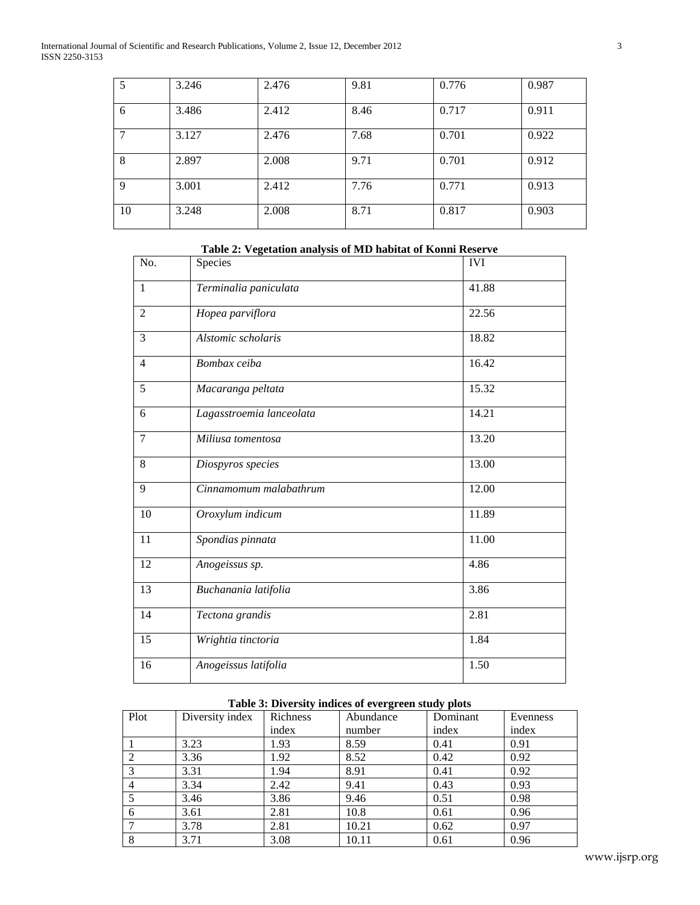International Journal of Scientific and Research Publications, Volume 2, Issue 12, December 2012 3 ISSN 2250-3153

|    | 3.246 | 2.476 | 9.81 | 0.776 | 0.987 |
|----|-------|-------|------|-------|-------|
| 6  | 3.486 | 2.412 | 8.46 | 0.717 | 0.911 |
|    | 3.127 | 2.476 | 7.68 | 0.701 | 0.922 |
| 8  | 2.897 | 2.008 | 9.71 | 0.701 | 0.912 |
| 9  | 3.001 | 2.412 | 7.76 | 0.771 | 0.913 |
| 10 | 3.248 | 2.008 | 8.71 | 0.817 | 0.903 |

| No.            | Species                  | <b>IVI</b> |
|----------------|--------------------------|------------|
| $\mathbf{1}$   | Terminalia paniculata    | 41.88      |
| $\overline{2}$ | Hopea parviflora         | 22.56      |
| 3              | Alstomic scholaris       | 18.82      |
| $\overline{4}$ | Bombax ceiba             | 16.42      |
| 5              | Macaranga peltata        | 15.32      |
| 6              | Lagasstroemia lanceolata | 14.21      |
| $\overline{7}$ | Miliusa tomentosa        | 13.20      |
| 8              | Diospyros species        | 13.00      |
| 9              | Cinnamomum malabathrum   | 12.00      |
| 10             | Oroxylum indicum         | 11.89      |
| 11             | Spondias pinnata         | 11.00      |
| 12             | Anogeissus sp.           | 4.86       |
| 13             | Buchanania latifolia     | 3.86       |
| 14             | Tectona grandis          | 2.81       |
| 15             | Wrightia tinctoria       | 1.84       |
| 16             | Anogeissus latifolia     | 1.50       |
|                |                          |            |

# **Table 2: Vegetation analysis of MD habitat of Konni Reserve**

## **Table 3: Diversity indices of evergreen study plots**

| Plot | Diversity index | Richness | Abundance | Dominant | Evenness |
|------|-----------------|----------|-----------|----------|----------|
|      |                 | index    | number    | index    | index    |
|      | 3.23            | 1.93     | 8.59      | 0.41     | 0.91     |
|      | 3.36            | 1.92     | 8.52      | 0.42     | 0.92     |
|      | 3.31            | 1.94     | 8.91      | 0.41     | 0.92     |
| 4    | 3.34            | 2.42     | 9.41      | 0.43     | 0.93     |
| 5    | 3.46            | 3.86     | 9.46      | 0.51     | 0.98     |
| 6    | 3.61            | 2.81     | 10.8      | 0.61     | 0.96     |
|      | 3.78            | 2.81     | 10.21     | 0.62     | 0.97     |
| 8    | 3.71            | 3.08     | 10.11     | 0.61     | 0.96     |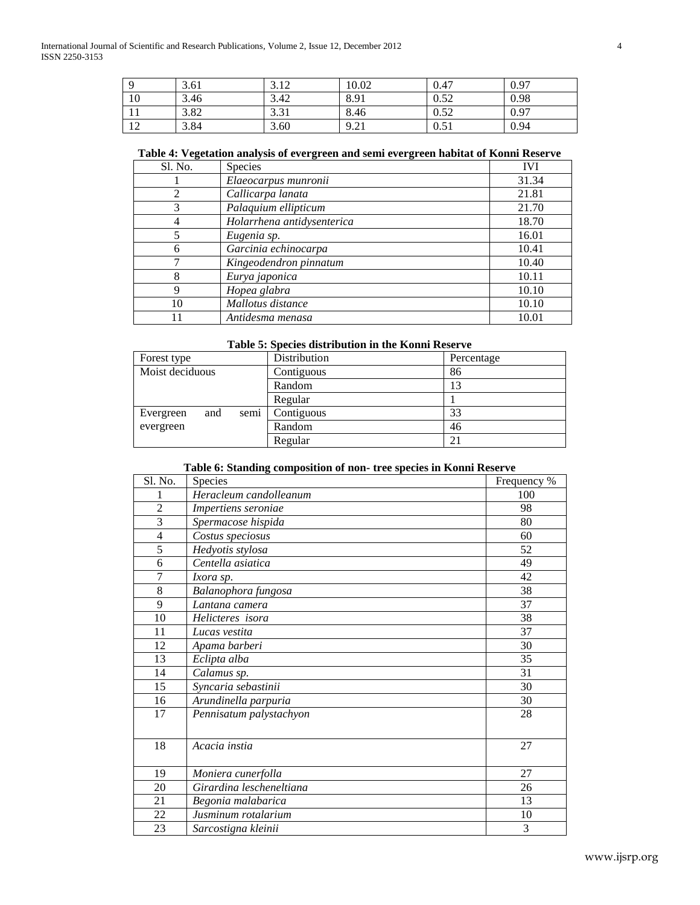|     | 3.61 | 2.12<br>3.14 | 10.02 | 0.47 | 0.97 |
|-----|------|--------------|-------|------|------|
| 10  | 3.46 | 3.42         | 8.91  | 0.52 | 0.98 |
| 1 T | 3.82 | 3.31         | 8.46  | 0.52 | 0.97 |
| 12  | 3.84 | 3.60         | 9.21  | 0.51 | 0.94 |

## **Table 4: Vegetation analysis of evergreen and semi evergreen habitat of Konni Reserve**

| Sl. No. | Species                    | <b>IVI</b> |
|---------|----------------------------|------------|
|         | Elaeocarpus munronii       | 31.34      |
|         | Callicarpa lanata          | 21.81      |
| 3       | Palaquium ellipticum       | 21.70      |
| 4       | Holarrhena antidysenterica | 18.70      |
|         | Eugenia sp.                | 16.01      |
| 6       | Garcinia echinocarpa       | 10.41      |
|         | Kingeodendron pinnatum     | 10.40      |
|         | Eurya japonica             | 10.11      |
| 9       | Hopea glabra               | 10.10      |
| 10      | Mallotus distance          | 10.10      |
|         | Antidesma menasa           | 10.01      |

## **Table 5: Species distribution in the Konni Reserve**

| Forest type              | Distribution | Percentage |
|--------------------------|--------------|------------|
| Moist deciduous          | Contiguous   | 86         |
|                          | Random       | 13         |
|                          | Regular      |            |
| semi<br>and<br>Evergreen | Contiguous   | 33         |
| evergreen                | Random       | 46         |
|                          | Regular      | 21         |

# **Table 6: Standing composition of non- tree species in Konni Reserve**

| Sl. No.                 | Species                  | Frequency %     |
|-------------------------|--------------------------|-----------------|
| 1                       | Heracleum candolleanum   | 100             |
| $\overline{c}$          | Impertiens seroniae      | 98              |
| 3                       | Spermacose hispida       | 80              |
| $\overline{\mathbf{4}}$ | Costus speciosus         | 60              |
| $\overline{5}$          | Hedyotis stylosa         | 52              |
| 6                       | Centella asiatica        | 49              |
| 7                       | Ixora sp.                | 42              |
| 8                       | Balanophora fungosa      | $\overline{38}$ |
| 9                       | Lantana camera           | 37              |
| 10                      | Helicteres isora         | 38              |
| 11                      | Lucas vestita            | 37              |
| 12                      | Apama barberi            | 30              |
| 13                      | Eclipta alba             | 35              |
| 14                      | Calamus sp.              | 31              |
| 15                      | Syncaria sebastinii      | 30              |
| 16                      | Arundinella parpuria     | 30              |
| 17                      | Pennisatum palystachyon  | 28              |
|                         |                          |                 |
| 18                      | Acacia instia            | 27              |
|                         |                          |                 |
| 19                      | Moniera cunerfolla       | 27              |
| 20                      | Girardina lescheneltiana | 26              |
| 21                      | Begonia malabarica       | 13              |
| 22                      | Jusminum rotalarium      | 10              |
| 23                      | Sarcostigna kleinii      | 3               |